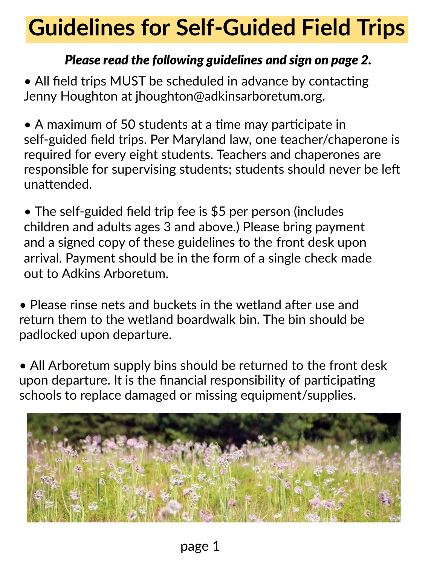## **Guidelines for Self-Guided Field Trips**

## *Please read the following guidelines and sign on page 2.*

• All field trips MUST be scheduled in advance by contacting Jenny Houghton at jhoughton@adkinsarboretum.org.

• A maximum of 50 students at a time may participate in self-guided feld trips. Per Maryland law, one teacher/chaperone is required for every eight students. Teachers and chaperones are responsible for supervising students; students should never be lef unattended.

• The self-guided field trip fee is \$5 per person (includes children and adults ages 3 and above.) Please bring payment arrival. Payment should be in the form of a single check made and a signed copy of these guidelines to the front desk upon out to Adkins Arboretum.

• Please rinse nets and buckets in the wetland after use and return them to the wetland boardwalk bin. The bin should be padlocked upon departure.

and<br>Meridian schools to replace damaged or missing equipment/supplies. upon departure. It is the financial responsibility of participating • All Arboretum supply bins should be returned to the front desk